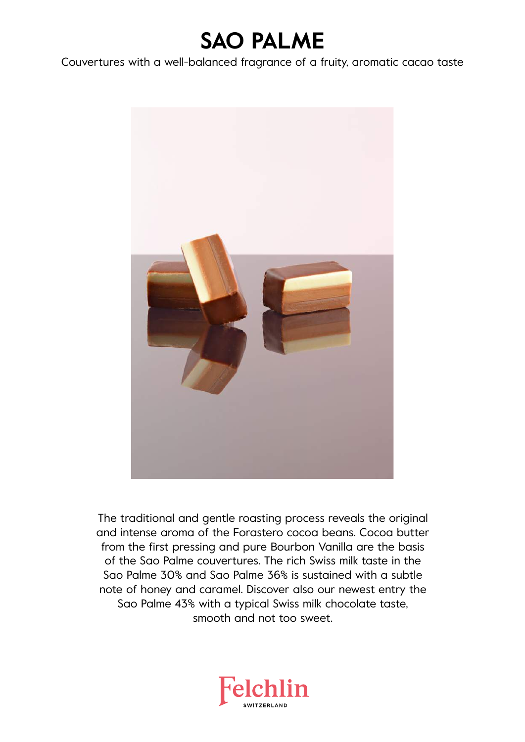# **SAO PALME**

Couvertures with a well-balanced fragrance of a fruity, aromatic cacao taste



The traditional and gentle roasting process reveals the original and intense aroma of the Forastero cocoa beans. Cocoa butter from the first pressing and pure Bourbon Vanilla are the basis of the Sao Palme couvertures. The rich Swiss milk taste in the Sao Palme 30% and Sao Palme 36% is sustained with a subtle note of honey and caramel. Discover also our newest entry the Sao Palme 43% with a typical Swiss milk chocolate taste, smooth and not too sweet.